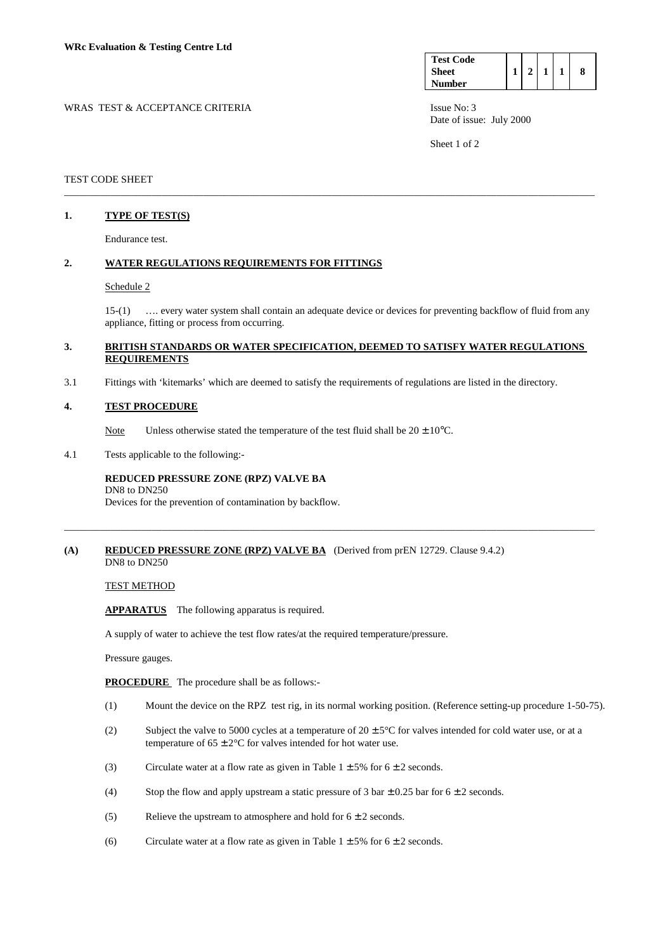| <b>Test Code</b> |  |  |  |
|------------------|--|--|--|
| <b>Sheet</b>     |  |  |  |
| <b>Number</b>    |  |  |  |

WRAS TEST & ACCEPTANCE CRITERIA ISSUE No: 3 Date of issue: July 2000

Sheet 1 of 2

# TEST CODE SHEET

# **1. TYPE OF TEST(S)**

Endurance test.

# **2. WATER REGULATIONS REQUIREMENTS FOR FITTINGS**

#### Schedule 2

 15-(1) …. every water system shall contain an adequate device or devices for preventing backflow of fluid from any appliance, fitting or process from occurring.

## **3. BRITISH STANDARDS OR WATER SPECIFICATION, DEEMED TO SATISFY WATER REGULATIONS REQUIREMENTS**

\_\_\_\_\_\_\_\_\_\_\_\_\_\_\_\_\_\_\_\_\_\_\_\_\_\_\_\_\_\_\_\_\_\_\_\_\_\_\_\_\_\_\_\_\_\_\_\_\_\_\_\_\_\_\_\_\_\_\_\_\_\_\_\_\_\_\_\_\_\_\_\_\_\_\_\_\_\_\_\_\_\_\_\_\_\_\_\_\_\_\_\_\_\_\_\_\_\_\_\_\_\_\_

\_\_\_\_\_\_\_\_\_\_\_\_\_\_\_\_\_\_\_\_\_\_\_\_\_\_\_\_\_\_\_\_\_\_\_\_\_\_\_\_\_\_\_\_\_\_\_\_\_\_\_\_\_\_\_\_\_\_\_\_\_\_\_\_\_\_\_\_\_\_\_\_\_\_\_\_\_\_\_\_\_\_\_\_\_\_\_\_\_\_\_\_\_\_\_\_\_\_\_\_\_\_\_

3.1 Fittings with 'kitemarks' which are deemed to satisfy the requirements of regulations are listed in the directory.

## **4. TEST PROCEDURE**

Note Unless otherwise stated the temperature of the test fluid shall be  $20 \pm 10^{\circ}$ C.

4.1 Tests applicable to the following:-

## **REDUCED PRESSURE ZONE (RPZ) VALVE BA** DN8 to DN250

Devices for the prevention of contamination by backflow.

## **(A) REDUCED PRESSURE ZONE (RPZ) VALVE BA** (Derived from prEN 12729. Clause 9.4.2) DN8 to DN250

TEST METHOD

**APPARATUS** The following apparatus is required.

A supply of water to achieve the test flow rates/at the required temperature/pressure.

Pressure gauges.

**PROCEDURE** The procedure shall be as follows:-

- (1) Mount the device on the RPZ test rig, in its normal working position. (Reference setting-up procedure 1-50-75).
- (2) Subject the valve to 5000 cycles at a temperature of  $20 \pm 5^{\circ}$ C for valves intended for cold water use, or at a temperature of  $65 \pm 2^{\circ}$ C for valves intended for hot water use.
- (3) Circulate water at a flow rate as given in Table  $1 \pm 5\%$  for  $6 \pm 2$  seconds.
- (4) Stop the flow and apply upstream a static pressure of 3 bar  $\pm$  0.25 bar for 6  $\pm$  2 seconds.
- (5) Relieve the upstream to atmosphere and hold for  $6 \pm 2$  seconds.
- (6) Circulate water at a flow rate as given in Table  $1 \pm 5\%$  for  $6 \pm 2$  seconds.